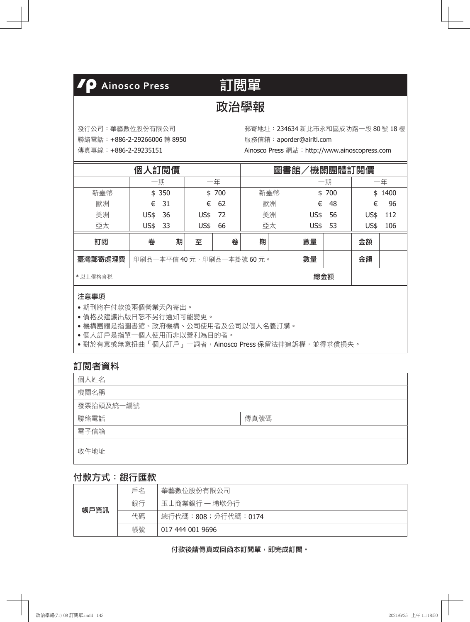## **/P** Ainosco Press

# 訂閱單

## 政治學報

發行公司:華藝數位股份有限公司

聯絡電話:+886-2-29266006 轉 8950

傳真專線:+886-2-29235151

郵寄地址:234634 新北市永和區成功路一段 80 號 18 樓 服務信箱:aporder@airiti.com

Ainosco Press 網站:http://www.ainoscopress.com

|         | 個    | 人訂閱價  |      | <b>`機關團體訂閱價</b><br>圖書館 |                            |     |      |     |      |        |
|---------|------|-------|------|------------------------|----------------------------|-----|------|-----|------|--------|
|         |      | 一期    |      | 一年                     |                            |     |      | 一期  |      | 一年     |
| 新臺幣     |      | \$350 | \$   | 700                    |                            | 新臺幣 | \$   | 700 |      | \$1400 |
| 歐洲      | €    | 31    | €    | 62                     |                            | 歐洲  | €    | 48  | €    | 96     |
| 美洲      | US\$ | 36    | US\$ | 72                     |                            | 美洲  | US\$ | 56  | US\$ | 112    |
| 亞太      | US\$ | 33    | US\$ | 66                     |                            | 亞太  | US\$ | 53  | US\$ | 106    |
| 訂閲      | 卷    | 期     | 至    | 卷                      | 期                          |     | 數量   |     | 金額   |        |
| 臺灣郵寄處理費 |      |       |      |                        | 印刷品一本平信 40 元,印刷品一本掛號 60 元。 |     | 數量   |     | 金額   |        |
| *以上價格含税 |      |       |      |                        |                            |     | 總金額  |     |      |        |

#### 注意事項

- 期刊將在付款後兩個營業天內寄出。
- 價格及建議出版日恕不另行通知可能變更。
- 機構團體是指圖書館、政府機構、公司使用者及公司以個人名義訂購。
- 個人訂戶是指單一個人使用而非以營利為目的者。
- •對於有意或無意扭曲「個人訂戶」一詞者, Ainosco Press 保留法律追訴權,並得求償損失。

## 訂閱者資料

| 個人姓名      |      |
|-----------|------|
| 機關名稱      |      |
| 發票抬頭及統一編號 |      |
| 聯絡電話      | 傳真號碼 |
| 電子信箱      |      |
| 收件地址      |      |

### 付款方式:銀行匯款

| 帳戶資訊 | 戶名 | 華藝數位股份有限公司         |
|------|----|--------------------|
|      | 銀行 | 玉山商業銀行 — 埔墘分行      |
|      | 代碼 | 總行代碼:808;分行代碼:0174 |
|      | 帳號 | 017 444 001 9696   |

付款後請傳真或回函本訂閱單,即完成訂閱。